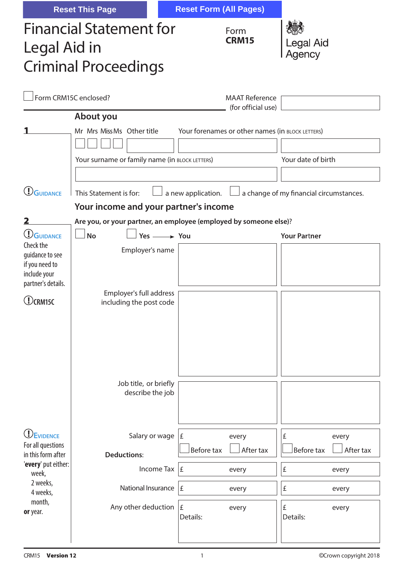|                                           | <b>Reset This Page</b>                             | <b>Reset Form (All Pages)</b>                                     |                                         |
|-------------------------------------------|----------------------------------------------------|-------------------------------------------------------------------|-----------------------------------------|
|                                           | <b>Financial Statement for</b>                     | Form                                                              |                                         |
| Legal Aid in                              |                                                    | <b>CRM15</b>                                                      | <b>Legal Aid</b><br>Agency              |
|                                           | <b>Criminal Proceedings</b>                        |                                                                   |                                         |
|                                           | Form CRM15C enclosed?                              | <b>MAAT Reference</b>                                             |                                         |
|                                           | About you                                          | (for official use)                                                |                                         |
|                                           | Mr Mrs MissMs Other title                          | Your forenames or other names (in BLOCK LETTERS)                  |                                         |
|                                           |                                                    |                                                                   |                                         |
|                                           | Your surname or family name (in BLOCK LETTERS)     |                                                                   | Your date of birth                      |
|                                           |                                                    |                                                                   |                                         |
| <b>U</b> GUIDANCE                         | This Statement is for:                             | a new application.                                                | a change of my financial circumstances. |
|                                           | Your income and your partner's income              |                                                                   |                                         |
|                                           |                                                    | Are you, or your partner, an employee (employed by someone else)? |                                         |
| <b>D</b> GUIDANCE                         | <b>No</b><br>$Yes \longrightarrow You$             |                                                                   | <b>Your Partner</b>                     |
| Check the<br>quidance to see              | Employer's name                                    |                                                                   |                                         |
| if you need to                            |                                                    |                                                                   |                                         |
| include your<br>partner's details.        |                                                    |                                                                   |                                         |
| $\bigcup$ CRM15C                          | Employer's full address<br>including the post code |                                                                   |                                         |
|                                           |                                                    |                                                                   |                                         |
|                                           |                                                    |                                                                   |                                         |
|                                           |                                                    |                                                                   |                                         |
|                                           |                                                    |                                                                   |                                         |
|                                           |                                                    |                                                                   |                                         |
|                                           | Job title, or briefly<br>describe the job          |                                                                   |                                         |
|                                           |                                                    |                                                                   |                                         |
|                                           |                                                    |                                                                   |                                         |
| <b>JEVIDENCE</b>                          | Salary or wage                                     | £<br>every                                                        | £<br>every                              |
| For all questions                         |                                                    | Before tax<br>After tax                                           | <b>Before tax</b><br>After tax          |
| in this form after<br>'every' put either: | <b>Deductions:</b><br>Income Tax $ E $             |                                                                   |                                         |
| week,<br>2 weeks,                         |                                                    | every                                                             | £<br>every                              |
| 4 weeks,                                  | National Insurance                                 | Ι£<br>every                                                       | £<br>every                              |
| month,<br>or year.                        | Any other deduction                                | £<br>every                                                        | £<br>every                              |
|                                           |                                                    | Details:                                                          | Details:                                |
|                                           |                                                    |                                                                   |                                         |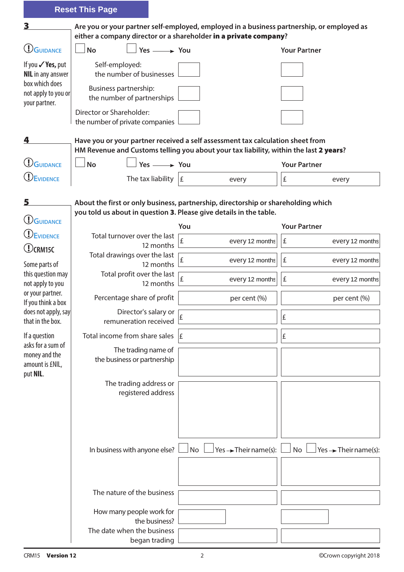| 3                                          |                          |                                               |     | Are you or your partner self-employed, employed in a business partnership, or employed as<br>either a company director or a shareholder in a private company?           |                     |                                           |
|--------------------------------------------|--------------------------|-----------------------------------------------|-----|-------------------------------------------------------------------------------------------------------------------------------------------------------------------------|---------------------|-------------------------------------------|
| <b>U</b> GUIDANCE                          | <b>No</b>                | $Yes \longrightarrow You$                     |     |                                                                                                                                                                         | <b>Your Partner</b> |                                           |
| If you √ Yes, put                          | Self-employed:           |                                               |     |                                                                                                                                                                         |                     |                                           |
| <b>NIL</b> in any answer<br>box which does |                          | the number of businesses                      |     |                                                                                                                                                                         |                     |                                           |
| not apply to you or                        |                          | Business partnership:                         |     |                                                                                                                                                                         |                     |                                           |
| your partner.                              |                          | the number of partnerships                    |     |                                                                                                                                                                         |                     |                                           |
|                                            | Director or Shareholder: | the number of private companies               |     |                                                                                                                                                                         |                     |                                           |
|                                            |                          |                                               |     |                                                                                                                                                                         |                     |                                           |
|                                            |                          |                                               |     | Have you or your partner received a self assessment tax calculation sheet from<br>HM Revenue and Customs telling you about your tax liability, within the last 2 years? |                     |                                           |
| <b>U</b> GUIDANCE                          | <b>No</b>                | $Yes \longrightarrow You$                     |     |                                                                                                                                                                         |                     |                                           |
|                                            |                          |                                               |     |                                                                                                                                                                         | <b>Your Partner</b> |                                           |
| UEVIDENCE                                  |                          | The tax liability                             | E   | every                                                                                                                                                                   | £                   | every                                     |
| 5                                          |                          |                                               |     | About the first or only business, partnership, directorship or shareholding which                                                                                       |                     |                                           |
|                                            |                          |                                               |     | you told us about in question 3. Please give details in the table.                                                                                                      |                     |                                           |
| <b>U</b> GUIDANCE                          |                          |                                               | You |                                                                                                                                                                         | <b>Your Partner</b> |                                           |
| <b>JEVIDENCE</b>                           |                          | Total turnover over the last                  | £   | every 12 months                                                                                                                                                         | £                   | every 12 months                           |
| $\bigcup$ CRM15C                           |                          | 12 months<br>Total drawings over the last     |     |                                                                                                                                                                         |                     |                                           |
| Some parts of                              | 12 months                |                                               | £   | every 12 months                                                                                                                                                         | Ι£                  | every 12 months                           |
| this question may<br>not apply to you      |                          | Total profit over the last<br>12 months       |     | every 12 months                                                                                                                                                         | $\mathbf{f}$        | every 12 months                           |
| or your partner.                           |                          |                                               |     |                                                                                                                                                                         |                     |                                           |
| If you think a box                         |                          | Percentage share of profit                    |     | per cent (%)                                                                                                                                                            |                     | per cent (%)                              |
| does not apply, say<br>that in the box.    |                          | Director's salary or<br>remuneration received | £   |                                                                                                                                                                         | £                   |                                           |
| If a question                              |                          | Total income from share sales                 | Ι£  |                                                                                                                                                                         | £                   |                                           |
| asks for a sum of                          |                          | The trading name of                           |     |                                                                                                                                                                         |                     |                                           |
| money and the                              |                          | the business or partnership                   |     |                                                                                                                                                                         |                     |                                           |
| amount is £NIL,<br>put NIL.                |                          |                                               |     |                                                                                                                                                                         |                     |                                           |
|                                            |                          | The trading address or                        |     |                                                                                                                                                                         |                     |                                           |
|                                            |                          | registered address                            |     |                                                                                                                                                                         |                     |                                           |
|                                            |                          |                                               |     |                                                                                                                                                                         |                     |                                           |
|                                            |                          |                                               |     |                                                                                                                                                                         |                     |                                           |
|                                            |                          |                                               |     |                                                                                                                                                                         |                     |                                           |
|                                            |                          | In business with anyone else?                 | No  | $\vert$ Yes $\rightarrow$ Their name(s):                                                                                                                                | No l                | $\forall$ es $\rightarrow$ Their name(s): |
|                                            |                          |                                               |     |                                                                                                                                                                         |                     |                                           |
|                                            |                          |                                               |     |                                                                                                                                                                         |                     |                                           |
|                                            |                          | The nature of the business                    |     |                                                                                                                                                                         |                     |                                           |
|                                            |                          |                                               |     |                                                                                                                                                                         |                     |                                           |
|                                            |                          | How many people work for<br>the business?     |     |                                                                                                                                                                         |                     |                                           |
|                                            |                          | The date when the business                    |     |                                                                                                                                                                         |                     |                                           |
|                                            |                          | began trading                                 |     |                                                                                                                                                                         |                     |                                           |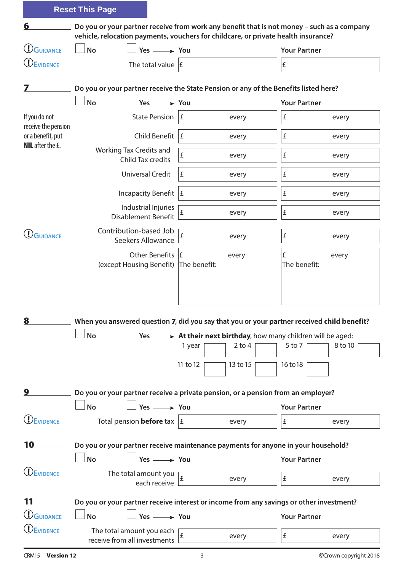|                                      | <b>Reset This Page</b>                                                                                                       |                                                                                                             |                               |
|--------------------------------------|------------------------------------------------------------------------------------------------------------------------------|-------------------------------------------------------------------------------------------------------------|-------------------------------|
| 6                                    | Do you or your partner receive from work any benefit that is not money - such as a company                                   |                                                                                                             |                               |
| <b>U</b> GUIDANCE                    | vehicle, relocation payments, vouchers for childcare, or private health insurance?<br><b>No</b><br>$Yes \longrightarrow You$ |                                                                                                             | <b>Your Partner</b>           |
| <b>U</b> EVIDENCE                    | The total value $ E $                                                                                                        |                                                                                                             | £                             |
|                                      |                                                                                                                              |                                                                                                             |                               |
|                                      | Do you or your partner receive the State Pension or any of the Benefits listed here?                                         |                                                                                                             |                               |
|                                      | <b>No</b><br>$Yes \longrightarrow You$                                                                                       |                                                                                                             | <b>Your Partner</b>           |
| If you do not<br>receive the pension | State Pension                                                                                                                | £<br>every                                                                                                  | £<br>every                    |
| or a benefit, put                    | Child Benefit $E$                                                                                                            | every                                                                                                       | £<br>every                    |
| <b>NIL</b> after the £.              | <b>Working Tax Credits and</b><br><b>Child Tax credits</b>                                                                   | £<br>every                                                                                                  | £<br>every                    |
|                                      | <b>Universal Credit</b>                                                                                                      | £<br>every                                                                                                  | £<br>every                    |
|                                      | <b>Incapacity Benefit</b>                                                                                                    | £<br>every                                                                                                  | £<br>every                    |
|                                      | Industrial Injuries<br><b>Disablement Benefit</b>                                                                            | £<br>every                                                                                                  | £<br>every                    |
| <b>GUIDANCE</b>                      | Contribution-based Job<br>Seekers Allowance                                                                                  | £<br>every                                                                                                  | £<br>every                    |
|                                      | Other Benefits $ E $<br>(except Housing Benefit)                                                                             | every<br>The benefit:                                                                                       | £<br>every<br>The benefit:    |
| 8                                    | When you answered question 7, did you say that you or your partner received child benefit?<br><b>No</b>                      | Yes - At their next birthday, how many children will be aged:<br>$2$ to 4<br>1 year<br>11 to 12<br>13 to 15 | 5 to 7<br>8 to 10<br>16 to 18 |
| 9                                    | Do you or your partner receive a private pension, or a pension from an employer?                                             |                                                                                                             |                               |
|                                      | $Yes \longrightarrow You$<br><b>No</b>                                                                                       |                                                                                                             | <b>Your Partner</b>           |
| UEVIDENCE                            | Total pension <b>before</b> tax $\mathbf{f}$                                                                                 | every                                                                                                       | $\pounds$<br>every            |
| <b>10</b>                            | Do you or your partner receive maintenance payments for anyone in your household?                                            |                                                                                                             |                               |
|                                      | <b>No</b><br>$Yes \longrightarrow You$                                                                                       |                                                                                                             | <b>Your Partner</b>           |
| $U$ EVIDENCE                         | The total amount you<br>each receive                                                                                         | every                                                                                                       | £<br>every                    |
| 11                                   | Do you or your partner receive interest or income from any savings or other investment?                                      |                                                                                                             |                               |
| UGUIDANCE                            | $Yes \longrightarrow You$<br><b>No</b>                                                                                       |                                                                                                             | <b>Your Partner</b>           |
| <b>JEVIDENCE</b>                     | The total amount you each<br>receive from all investments                                                                    | every                                                                                                       | £<br>every                    |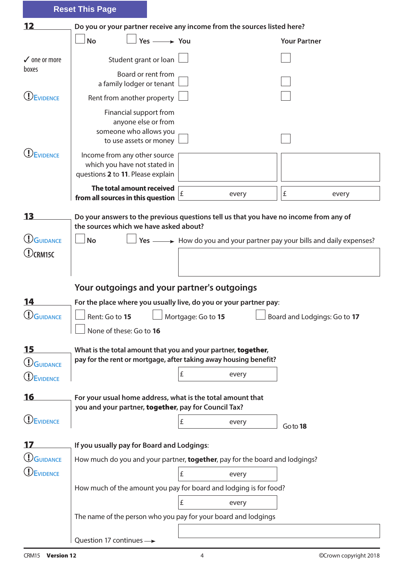| <b>Reset This Page</b> |  |
|------------------------|--|
|------------------------|--|

| 12                                      |                                                                                                                                                                      |                                                               |                                                                                      |
|-----------------------------------------|----------------------------------------------------------------------------------------------------------------------------------------------------------------------|---------------------------------------------------------------|--------------------------------------------------------------------------------------|
|                                         | Do you or your partner receive any income from the sources listed here?                                                                                              |                                                               |                                                                                      |
|                                         | $Yes \longrightarrow You$<br><b>No</b>                                                                                                                               |                                                               | <b>Your Partner</b>                                                                  |
| $\checkmark$ one or more<br>boxes       | Student grant or loan                                                                                                                                                |                                                               |                                                                                      |
|                                         | Board or rent from                                                                                                                                                   |                                                               |                                                                                      |
|                                         | a family lodger or tenant                                                                                                                                            |                                                               |                                                                                      |
| <b>J</b> EVIDENCE                       | Rent from another property                                                                                                                                           |                                                               |                                                                                      |
|                                         | Financial support from<br>anyone else or from<br>someone who allows you<br>to use assets or money                                                                    |                                                               |                                                                                      |
| <b>J</b> EVIDENCE                       | Income from any other source<br>which you have not stated in<br>questions 2 to 11. Please explain                                                                    |                                                               |                                                                                      |
|                                         | The total amount received<br>from all sources in this question                                                                                                       | every                                                         | £<br>every                                                                           |
| 13                                      | Do your answers to the previous questions tell us that you have no income from any of                                                                                |                                                               |                                                                                      |
|                                         | the sources which we have asked about?                                                                                                                               |                                                               |                                                                                      |
| <b>U</b> GUIDANCE                       | <b>No</b>                                                                                                                                                            |                                                               | Yes $\longrightarrow$ How do you and your partner pay your bills and daily expenses? |
| $\mathbb{U}$ CRM15C                     |                                                                                                                                                                      |                                                               |                                                                                      |
| 14<br>$\mathbf{I}$<br><b>U</b> GUIDANCE | Your outgoings and your partner's outgoings<br>For the place where you usually live, do you or your partner pay:<br>$\Box$ Rent: Go to 15<br>None of these: Go to 16 | $\Box$ Mortgage: Go to 15 $\Box$ Board and Lodgings: Go to 17 |                                                                                      |
| <u>15</u>                               | What is the total amount that you and your partner, together,                                                                                                        |                                                               |                                                                                      |
| (I) GUIDANCE                            | pay for the rent or mortgage, after taking away housing benefit?                                                                                                     |                                                               |                                                                                      |
| (DEVIDENCE                              |                                                                                                                                                                      | £<br>every                                                    |                                                                                      |
| <u> 16 </u>                             | For your usual home address, what is the total amount that<br>you and your partner, together, pay for Council Tax?                                                   |                                                               |                                                                                      |
| <b>U</b> EVIDENCE                       |                                                                                                                                                                      |                                                               |                                                                                      |
|                                         |                                                                                                                                                                      | £<br>every                                                    | Go to 18                                                                             |
| 17                                      | If you usually pay for Board and Lodgings:                                                                                                                           |                                                               |                                                                                      |
| (UGUIDANCE                              | How much do you and your partner, together, pay for the board and lodgings?                                                                                          |                                                               |                                                                                      |
| U EVIDENCE                              |                                                                                                                                                                      | £<br>every                                                    |                                                                                      |
|                                         | How much of the amount you pay for board and lodging is for food?                                                                                                    |                                                               |                                                                                      |
|                                         |                                                                                                                                                                      | £<br>every                                                    |                                                                                      |
|                                         | The name of the person who you pay for your board and lodgings                                                                                                       |                                                               |                                                                                      |
|                                         |                                                                                                                                                                      |                                                               |                                                                                      |
|                                         | Question 17 continues -                                                                                                                                              |                                                               |                                                                                      |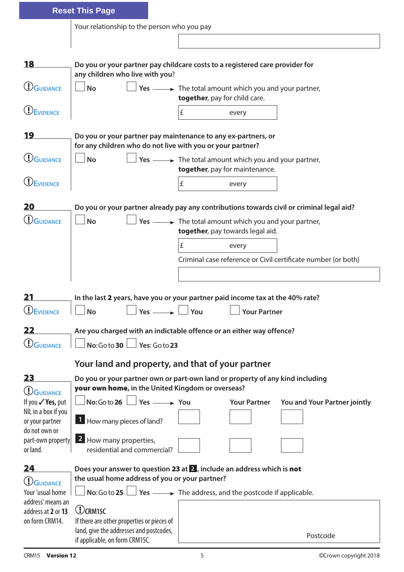|                                                         | <b>Reset This Page</b>                                                                                                             |                                                                           |                                                                                                        |                                                                                           |
|---------------------------------------------------------|------------------------------------------------------------------------------------------------------------------------------------|---------------------------------------------------------------------------|--------------------------------------------------------------------------------------------------------|-------------------------------------------------------------------------------------------|
|                                                         | Your relationship to the person who you pay                                                                                        |                                                                           |                                                                                                        |                                                                                           |
|                                                         |                                                                                                                                    |                                                                           |                                                                                                        |                                                                                           |
| <b>18</b>                                               | Do you or your partner pay childcare costs to a registered care provider for<br>any children who live with you?                    |                                                                           |                                                                                                        |                                                                                           |
| <b>U</b> GUIDANCE                                       | <b>No</b>                                                                                                                          |                                                                           | Yes $\longrightarrow$ The total amount which you and your partner,<br>together, pay for child care.    |                                                                                           |
| <b>DEVIDENCE</b>                                        |                                                                                                                                    | £                                                                         | every                                                                                                  |                                                                                           |
| <u>19</u>                                               | Do you or your partner pay maintenance to any ex-partners, or<br>for any children who do not live with you or your partner?        |                                                                           |                                                                                                        |                                                                                           |
| <b>UGUIDANCE</b>                                        | <b>No</b>                                                                                                                          |                                                                           | Yes $\longrightarrow$ The total amount which you and your partner,<br>together, pay for maintenance.   |                                                                                           |
| <b>U</b> EVIDENCE                                       |                                                                                                                                    | £                                                                         | every                                                                                                  |                                                                                           |
| 20                                                      |                                                                                                                                    |                                                                           |                                                                                                        | Do you or your partner already pay any contributions towards civil or criminal legal aid? |
| <b>U</b> GUIDANCE                                       | <b>No</b>                                                                                                                          |                                                                           | Yes $\longrightarrow$ The total amount which you and your partner,<br>together, pay towards legal aid. |                                                                                           |
|                                                         |                                                                                                                                    | £                                                                         | every                                                                                                  |                                                                                           |
|                                                         |                                                                                                                                    |                                                                           |                                                                                                        | Criminal case reference or Civil certificate number (or both)                             |
|                                                         |                                                                                                                                    |                                                                           |                                                                                                        |                                                                                           |
|                                                         | In the last 2 years, have you or your partner paid income tax at the 40% rate?                                                     |                                                                           |                                                                                                        |                                                                                           |
| <b>UEVIDENCE</b>                                        | <b>No</b>                                                                                                                          | $\begin{array}{ccc} \hline \end{array}$<br>$Yes \longrightarrow \Box You$ | <b>Your Partner</b>                                                                                    |                                                                                           |
| 22                                                      | Are you charged with an indictable offence or an either way offence?                                                               |                                                                           |                                                                                                        |                                                                                           |
| <b>U</b> GUIDANCE                                       | No: Go to 30                                                                                                                       | Yes: Goto 23                                                              |                                                                                                        |                                                                                           |
|                                                         | Your land and property, and that of your partner                                                                                   |                                                                           |                                                                                                        |                                                                                           |
| 23                                                      | Do you or your partner own or part-own land or property of any kind including<br>your own home, in the United Kingdom or overseas? |                                                                           |                                                                                                        |                                                                                           |
| <b>U</b> GUIDANCE<br>If you √ Yes, put                  | No: Go to 26                                                                                                                       | $Yes \longrightarrow You$                                                 | <b>Your Partner</b>                                                                                    | You and Your Partner jointly                                                              |
| NIL in a box if you<br>or your partner<br>do not own or | 1 How many pieces of land?                                                                                                         |                                                                           |                                                                                                        |                                                                                           |
| part-own property<br>or land.                           | 2 How many properties,<br>residential and commercial?                                                                              |                                                                           |                                                                                                        |                                                                                           |
| 24                                                      | Does your answer to question 23 at 2, include an address which is not                                                              |                                                                           |                                                                                                        |                                                                                           |
| <b>U</b> GUIDANCE<br>Your 'usual home                   | the usual home address of you or your partner?                                                                                     |                                                                           | <b>No:</b> Go to 25 $\Box$ Yes $\longrightarrow$ The address, and the postcode if applicable.          |                                                                                           |
| address' means an<br>address at 2 or 13                 | $\mathbb{Q}_{\mathsf{CRM15C}}$                                                                                                     |                                                                           |                                                                                                        |                                                                                           |
| on form CRM14.                                          | If there are other properties or pieces of                                                                                         |                                                                           |                                                                                                        |                                                                                           |
|                                                         | land, give the addresses and postcodes,<br>if applicable, on form CRM15C.                                                          |                                                                           |                                                                                                        | Postcode                                                                                  |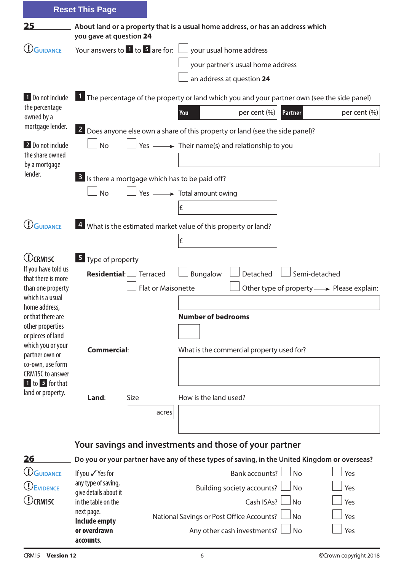| 25<br>About land or a property that is a usual home address, or has an address which<br>you gave at question 24<br>J <sub>GUIDANCE</sub><br>Your answers to 1 to 5 are for:<br>your usual home address<br>your partner's usual home address<br>an address at question 24<br>The percentage of the property or land which you and your partner own (see the side panel)<br>1 Do not include<br>the percentage<br>You<br>per cent (%)<br>Partner<br>owned by a<br>mortgage lender.<br>2 Does anyone else own a share of this property or land (see the side panel)?<br><b>No</b><br>Yes $\longrightarrow$ Their name(s) and relationship to you<br>2 Do not include<br>the share owned<br>by a mortgage<br>lender.<br>3 Is there a mortgage which has to be paid off?<br>$Yes \longrightarrow Total amount owing$<br><b>No</b><br>£<br><b>U</b> GUIDANCE<br>4 What is the estimated market value of this property or land?<br>£<br>$\bigcup$ CRM15C<br>5 Type of property<br>If you have told us<br>Residential:<br>Detached<br>Semi-detached<br>$\Box$ Terraced<br>Bungalow<br>that there is more<br>Flat or Maisonette<br>than one property<br>which is a usual<br>home address,<br>or that there are<br><b>Number of bedrooms</b><br>other properties<br>or pieces of land<br>which you or your<br><b>Commercial:</b><br>What is the commercial property used for?<br>partner own or<br>co-own, use form<br><b>CRM15C to answer</b><br>1 to 5 for that |
|---------------------------------------------------------------------------------------------------------------------------------------------------------------------------------------------------------------------------------------------------------------------------------------------------------------------------------------------------------------------------------------------------------------------------------------------------------------------------------------------------------------------------------------------------------------------------------------------------------------------------------------------------------------------------------------------------------------------------------------------------------------------------------------------------------------------------------------------------------------------------------------------------------------------------------------------------------------------------------------------------------------------------------------------------------------------------------------------------------------------------------------------------------------------------------------------------------------------------------------------------------------------------------------------------------------------------------------------------------------------------------------------------------------------------------------------------------|
|                                                                                                                                                                                                                                                                                                                                                                                                                                                                                                                                                                                                                                                                                                                                                                                                                                                                                                                                                                                                                                                                                                                                                                                                                                                                                                                                                                                                                                                         |
|                                                                                                                                                                                                                                                                                                                                                                                                                                                                                                                                                                                                                                                                                                                                                                                                                                                                                                                                                                                                                                                                                                                                                                                                                                                                                                                                                                                                                                                         |
|                                                                                                                                                                                                                                                                                                                                                                                                                                                                                                                                                                                                                                                                                                                                                                                                                                                                                                                                                                                                                                                                                                                                                                                                                                                                                                                                                                                                                                                         |
|                                                                                                                                                                                                                                                                                                                                                                                                                                                                                                                                                                                                                                                                                                                                                                                                                                                                                                                                                                                                                                                                                                                                                                                                                                                                                                                                                                                                                                                         |
| per cent (%)                                                                                                                                                                                                                                                                                                                                                                                                                                                                                                                                                                                                                                                                                                                                                                                                                                                                                                                                                                                                                                                                                                                                                                                                                                                                                                                                                                                                                                            |
|                                                                                                                                                                                                                                                                                                                                                                                                                                                                                                                                                                                                                                                                                                                                                                                                                                                                                                                                                                                                                                                                                                                                                                                                                                                                                                                                                                                                                                                         |
|                                                                                                                                                                                                                                                                                                                                                                                                                                                                                                                                                                                                                                                                                                                                                                                                                                                                                                                                                                                                                                                                                                                                                                                                                                                                                                                                                                                                                                                         |
|                                                                                                                                                                                                                                                                                                                                                                                                                                                                                                                                                                                                                                                                                                                                                                                                                                                                                                                                                                                                                                                                                                                                                                                                                                                                                                                                                                                                                                                         |
|                                                                                                                                                                                                                                                                                                                                                                                                                                                                                                                                                                                                                                                                                                                                                                                                                                                                                                                                                                                                                                                                                                                                                                                                                                                                                                                                                                                                                                                         |
|                                                                                                                                                                                                                                                                                                                                                                                                                                                                                                                                                                                                                                                                                                                                                                                                                                                                                                                                                                                                                                                                                                                                                                                                                                                                                                                                                                                                                                                         |
|                                                                                                                                                                                                                                                                                                                                                                                                                                                                                                                                                                                                                                                                                                                                                                                                                                                                                                                                                                                                                                                                                                                                                                                                                                                                                                                                                                                                                                                         |
|                                                                                                                                                                                                                                                                                                                                                                                                                                                                                                                                                                                                                                                                                                                                                                                                                                                                                                                                                                                                                                                                                                                                                                                                                                                                                                                                                                                                                                                         |
|                                                                                                                                                                                                                                                                                                                                                                                                                                                                                                                                                                                                                                                                                                                                                                                                                                                                                                                                                                                                                                                                                                                                                                                                                                                                                                                                                                                                                                                         |
| Other type of property $\longrightarrow$ Please explain:                                                                                                                                                                                                                                                                                                                                                                                                                                                                                                                                                                                                                                                                                                                                                                                                                                                                                                                                                                                                                                                                                                                                                                                                                                                                                                                                                                                                |
|                                                                                                                                                                                                                                                                                                                                                                                                                                                                                                                                                                                                                                                                                                                                                                                                                                                                                                                                                                                                                                                                                                                                                                                                                                                                                                                                                                                                                                                         |
|                                                                                                                                                                                                                                                                                                                                                                                                                                                                                                                                                                                                                                                                                                                                                                                                                                                                                                                                                                                                                                                                                                                                                                                                                                                                                                                                                                                                                                                         |
|                                                                                                                                                                                                                                                                                                                                                                                                                                                                                                                                                                                                                                                                                                                                                                                                                                                                                                                                                                                                                                                                                                                                                                                                                                                                                                                                                                                                                                                         |
|                                                                                                                                                                                                                                                                                                                                                                                                                                                                                                                                                                                                                                                                                                                                                                                                                                                                                                                                                                                                                                                                                                                                                                                                                                                                                                                                                                                                                                                         |
|                                                                                                                                                                                                                                                                                                                                                                                                                                                                                                                                                                                                                                                                                                                                                                                                                                                                                                                                                                                                                                                                                                                                                                                                                                                                                                                                                                                                                                                         |
|                                                                                                                                                                                                                                                                                                                                                                                                                                                                                                                                                                                                                                                                                                                                                                                                                                                                                                                                                                                                                                                                                                                                                                                                                                                                                                                                                                                                                                                         |
|                                                                                                                                                                                                                                                                                                                                                                                                                                                                                                                                                                                                                                                                                                                                                                                                                                                                                                                                                                                                                                                                                                                                                                                                                                                                                                                                                                                                                                                         |
|                                                                                                                                                                                                                                                                                                                                                                                                                                                                                                                                                                                                                                                                                                                                                                                                                                                                                                                                                                                                                                                                                                                                                                                                                                                                                                                                                                                                                                                         |
|                                                                                                                                                                                                                                                                                                                                                                                                                                                                                                                                                                                                                                                                                                                                                                                                                                                                                                                                                                                                                                                                                                                                                                                                                                                                                                                                                                                                                                                         |
|                                                                                                                                                                                                                                                                                                                                                                                                                                                                                                                                                                                                                                                                                                                                                                                                                                                                                                                                                                                                                                                                                                                                                                                                                                                                                                                                                                                                                                                         |
| land or property.<br>Size<br>How is the land used?<br>Land:                                                                                                                                                                                                                                                                                                                                                                                                                                                                                                                                                                                                                                                                                                                                                                                                                                                                                                                                                                                                                                                                                                                                                                                                                                                                                                                                                                                             |
|                                                                                                                                                                                                                                                                                                                                                                                                                                                                                                                                                                                                                                                                                                                                                                                                                                                                                                                                                                                                                                                                                                                                                                                                                                                                                                                                                                                                                                                         |
| acres                                                                                                                                                                                                                                                                                                                                                                                                                                                                                                                                                                                                                                                                                                                                                                                                                                                                                                                                                                                                                                                                                                                                                                                                                                                                                                                                                                                                                                                   |
|                                                                                                                                                                                                                                                                                                                                                                                                                                                                                                                                                                                                                                                                                                                                                                                                                                                                                                                                                                                                                                                                                                                                                                                                                                                                                                                                                                                                                                                         |
| Your savings and investments and those of your partner                                                                                                                                                                                                                                                                                                                                                                                                                                                                                                                                                                                                                                                                                                                                                                                                                                                                                                                                                                                                                                                                                                                                                                                                                                                                                                                                                                                                  |
| 26<br>Do you or your partner have any of these types of saving, in the United Kingdom or overseas?                                                                                                                                                                                                                                                                                                                                                                                                                                                                                                                                                                                                                                                                                                                                                                                                                                                                                                                                                                                                                                                                                                                                                                                                                                                                                                                                                      |
| <b>D</b> GUIDANCE<br><b>Bank accounts?</b><br>If you ✔ Yes for<br><b>No</b><br>Yes<br>any type of saving,                                                                                                                                                                                                                                                                                                                                                                                                                                                                                                                                                                                                                                                                                                                                                                                                                                                                                                                                                                                                                                                                                                                                                                                                                                                                                                                                               |
| $\bigcup$ EVIDENCE<br>Building society accounts?<br>Yes<br>No<br>give details about it                                                                                                                                                                                                                                                                                                                                                                                                                                                                                                                                                                                                                                                                                                                                                                                                                                                                                                                                                                                                                                                                                                                                                                                                                                                                                                                                                                  |
| $\bigcup$ CRM15C<br>Cash ISAs?<br>in the table on the<br><b>No</b><br>Yes<br>next page.                                                                                                                                                                                                                                                                                                                                                                                                                                                                                                                                                                                                                                                                                                                                                                                                                                                                                                                                                                                                                                                                                                                                                                                                                                                                                                                                                                 |
| National Savings or Post Office Accounts?<br>Yes<br><b>No</b><br><b>Include empty</b><br>or overdrawn<br>Any other cash investments?<br>Yes<br><b>No</b>                                                                                                                                                                                                                                                                                                                                                                                                                                                                                                                                                                                                                                                                                                                                                                                                                                                                                                                                                                                                                                                                                                                                                                                                                                                                                                |

**or overdrawn accounts**.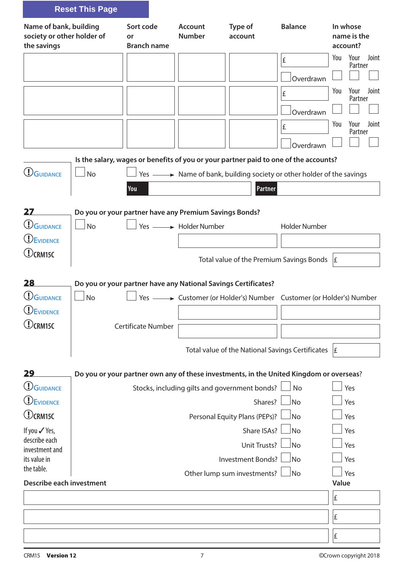|                                                                     | <b>Reset This Page</b> |                                                                |                                     |                                               |                                                                                         |                                                                   |
|---------------------------------------------------------------------|------------------------|----------------------------------------------------------------|-------------------------------------|-----------------------------------------------|-----------------------------------------------------------------------------------------|-------------------------------------------------------------------|
| Name of bank, building<br>society or other holder of<br>the savings |                        | Sort code<br>or<br><b>Branch name</b>                          | <b>Account</b><br><b>Number</b>     | Type of<br>account                            | <b>Balance</b>                                                                          | In whose<br>name is the<br>account?                               |
|                                                                     |                        |                                                                |                                     |                                               | £                                                                                       | You<br>Your<br>Joint<br>Partner                                   |
|                                                                     |                        |                                                                |                                     |                                               | Overdrawn                                                                               |                                                                   |
|                                                                     |                        |                                                                |                                     |                                               | £                                                                                       | You<br>Your<br>Joint<br>Partner                                   |
|                                                                     |                        |                                                                |                                     |                                               | Overdrawn                                                                               |                                                                   |
|                                                                     |                        |                                                                |                                     |                                               | £                                                                                       | You<br>Your<br>Joint<br>Partner                                   |
|                                                                     |                        |                                                                |                                     |                                               | Overdrawn                                                                               |                                                                   |
|                                                                     |                        |                                                                |                                     |                                               | Is the salary, wages or benefits of you or your partner paid to one of the accounts?    |                                                                   |
| (VGUIDANCE                                                          | <b>No</b>              |                                                                |                                     |                                               | Yes — Name of bank, building society or other holder of the savings                     |                                                                   |
|                                                                     |                        | You                                                            |                                     | <b>Partner</b>                                |                                                                                         |                                                                   |
| 27                                                                  |                        | Do you or your partner have any Premium Savings Bonds?         |                                     |                                               |                                                                                         |                                                                   |
| <b>U</b> GUIDANCE                                                   | <b>No</b>              |                                                                | $Yes \longrightarrow$ Holder Number |                                               | <b>Holder Number</b>                                                                    |                                                                   |
| <b>U</b> EVIDENCE                                                   |                        |                                                                |                                     |                                               |                                                                                         |                                                                   |
| $\mathbb{U}$ CRM15C                                                 |                        |                                                                |                                     |                                               | Total value of the Premium Savings Bonds $ E $                                          |                                                                   |
|                                                                     |                        |                                                                |                                     |                                               |                                                                                         |                                                                   |
| 28                                                                  |                        | Do you or your partner have any National Savings Certificates? |                                     |                                               |                                                                                         |                                                                   |
| <b>U</b> GUIDANCE<br>UEVIDENCE                                      | <b>No</b>              |                                                                |                                     |                                               |                                                                                         | Yes — Customer (or Holder's) Number Customer (or Holder's) Number |
| $\bigcup$ CRM15C                                                    |                        | <b>Certificate Number</b>                                      |                                     |                                               |                                                                                         |                                                                   |
|                                                                     |                        |                                                                |                                     |                                               |                                                                                         |                                                                   |
|                                                                     |                        |                                                                |                                     |                                               | Total value of the National Savings Certificates $\mathbf{f}$                           |                                                                   |
| <b>29</b>                                                           |                        |                                                                |                                     |                                               | Do you or your partner own any of these investments, in the United Kingdom or overseas? |                                                                   |
| <b>UGUIDANCE</b>                                                    |                        |                                                                |                                     | Stocks, including gilts and government bonds? | No                                                                                      | Yes                                                               |
| <b>U</b> EVIDENCE                                                   |                        |                                                                |                                     | Shares?                                       | No!                                                                                     | Yes                                                               |
| $\mathbb U$ CRM15C                                                  |                        |                                                                |                                     | Personal Equity Plans (PEPs)?                 | No!                                                                                     | Yes                                                               |
| If you √ Yes,                                                       |                        |                                                                |                                     | Share ISAs?                                   | <b>No</b>                                                                               | Yes                                                               |
| describe each<br>investment and                                     |                        |                                                                |                                     | <b>Unit Trusts?</b>                           | <b>No</b>                                                                               | Yes                                                               |
| its value in                                                        |                        |                                                                |                                     | Investment Bonds?                             | No!                                                                                     | Yes                                                               |
| the table.                                                          |                        |                                                                |                                     | Other lump sum investments?                   | 」No                                                                                     | Yes                                                               |
| <b>Describe each investment</b>                                     |                        |                                                                |                                     |                                               |                                                                                         | Value                                                             |
|                                                                     |                        |                                                                |                                     |                                               |                                                                                         | £                                                                 |
|                                                                     |                        |                                                                |                                     |                                               |                                                                                         | £                                                                 |
|                                                                     |                        |                                                                |                                     |                                               |                                                                                         | £                                                                 |
|                                                                     |                        |                                                                |                                     |                                               |                                                                                         |                                                                   |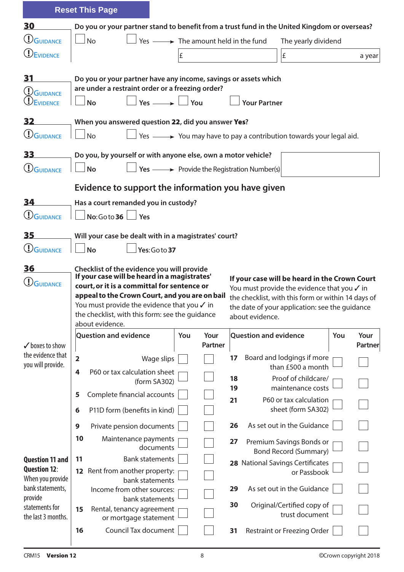|                                           |                              | <b>Reset This Page</b>                                                                                                                                                                                                                                                                                   |                                                             |     |         |          |                                                                                        |                                                                                                                                                                                                                 |     |                |
|-------------------------------------------|------------------------------|----------------------------------------------------------------------------------------------------------------------------------------------------------------------------------------------------------------------------------------------------------------------------------------------------------|-------------------------------------------------------------|-----|---------|----------|----------------------------------------------------------------------------------------|-----------------------------------------------------------------------------------------------------------------------------------------------------------------------------------------------------------------|-----|----------------|
| 30                                        |                              |                                                                                                                                                                                                                                                                                                          |                                                             |     |         |          |                                                                                        | Do you or your partner stand to benefit from a trust fund in the United Kingdom or overseas?                                                                                                                    |     |                |
| <b>U</b> GUIDANCE                         |                              | <b>No</b>                                                                                                                                                                                                                                                                                                |                                                             |     |         |          | Yes $\longrightarrow$ The amount held in the fund                                      | The yearly dividend                                                                                                                                                                                             |     |                |
| <b>U</b> EVIDENCE                         |                              |                                                                                                                                                                                                                                                                                                          |                                                             | £   |         |          |                                                                                        | £                                                                                                                                                                                                               |     | a year         |
| 31<br><b>GUIDANCE</b><br><b>DEVIDENCE</b> |                              | are under a restraint order or a freezing order?<br><b>No</b>                                                                                                                                                                                                                                            | Yes $-$                                                     | You |         |          | Do you or your partner have any income, savings or assets which<br><b>Your Partner</b> |                                                                                                                                                                                                                 |     |                |
| 32                                        |                              | When you answered question 22, did you answer Yes?                                                                                                                                                                                                                                                       |                                                             |     |         |          |                                                                                        |                                                                                                                                                                                                                 |     |                |
| <b>C</b> GUIDANCE                         |                              | <b>No</b>                                                                                                                                                                                                                                                                                                |                                                             |     |         |          |                                                                                        | Yes $\longrightarrow$ You may have to pay a contribution towards your legal aid.                                                                                                                                |     |                |
| 33                                        |                              | Do you, by yourself or with anyone else, own a motor vehicle?                                                                                                                                                                                                                                            |                                                             |     |         |          |                                                                                        |                                                                                                                                                                                                                 |     |                |
| <b>U</b> GUIDANCE                         |                              | <b>No</b>                                                                                                                                                                                                                                                                                                |                                                             |     |         |          | Yes $\longrightarrow$ Provide the Registration Number(s)                               |                                                                                                                                                                                                                 |     |                |
|                                           |                              |                                                                                                                                                                                                                                                                                                          |                                                             |     |         |          | Evidence to support the information you have given                                     |                                                                                                                                                                                                                 |     |                |
| 34                                        |                              | Has a court remanded you in custody?                                                                                                                                                                                                                                                                     |                                                             |     |         |          |                                                                                        |                                                                                                                                                                                                                 |     |                |
| <b>UGUIDANCE</b>                          |                              | No: Goto 36                                                                                                                                                                                                                                                                                              | Yes                                                         |     |         |          |                                                                                        |                                                                                                                                                                                                                 |     |                |
| 35                                        |                              | Will your case be dealt with in a magistrates' court?                                                                                                                                                                                                                                                    |                                                             |     |         |          |                                                                                        |                                                                                                                                                                                                                 |     |                |
| $\mathbb O$ GUIDANCE                      |                              | <b>No</b>                                                                                                                                                                                                                                                                                                | Yes: Goto 37                                                |     |         |          |                                                                                        |                                                                                                                                                                                                                 |     |                |
| 36<br><b>J</b> GUIDANCE                   |                              | Checklist of the evidence you will provide<br>If your case will be heard in a magistrates'<br>court, or it is a committal for sentence or<br>appeal to the Crown Court, and you are on bail<br>You must provide the evidence that you $\checkmark$ in<br>the checklist, with this form: see the quidance |                                                             |     |         |          | about evidence.                                                                        | If your case will be heard in the Crown Court<br>You must provide the evidence that you $\checkmark$ in<br>the checklist, with this form or within 14 days of<br>the date of your application: see the guidance |     |                |
|                                           |                              | about evidence.<br>Question and evidence                                                                                                                                                                                                                                                                 |                                                             | You | Your    |          | <b>Question and evidence</b>                                                           |                                                                                                                                                                                                                 | You | Your           |
| ✔ boxes to show<br>the evidence that      |                              |                                                                                                                                                                                                                                                                                                          |                                                             |     | Partner |          |                                                                                        |                                                                                                                                                                                                                 |     | <b>Partner</b> |
| you will provide.                         | $\overline{\mathbf{2}}$<br>4 |                                                                                                                                                                                                                                                                                                          | Wage slips<br>P60 or tax calculation sheet                  |     |         | 17       |                                                                                        | Board and lodgings if more<br>than £500 a month                                                                                                                                                                 |     |                |
|                                           |                              |                                                                                                                                                                                                                                                                                                          | (form SA302)                                                |     |         | 18<br>19 |                                                                                        | Proof of childcare/<br>maintenance costs                                                                                                                                                                        |     |                |
|                                           | 5<br>6                       |                                                                                                                                                                                                                                                                                                          | Complete financial accounts<br>P11D form (benefits in kind) |     |         | 21       |                                                                                        | P60 or tax calculation<br>sheet (form SA302)                                                                                                                                                                    |     |                |
|                                           | 9                            |                                                                                                                                                                                                                                                                                                          | Private pension documents                                   |     |         | 26       |                                                                                        | As set out in the Guidance                                                                                                                                                                                      |     |                |
|                                           | 10                           |                                                                                                                                                                                                                                                                                                          | Maintenance payments<br>documents                           |     |         | 27       |                                                                                        | Premium Savings Bonds or                                                                                                                                                                                        |     |                |
| <b>Question 11 and</b>                    | 11                           |                                                                                                                                                                                                                                                                                                          | <b>Bank statements</b>                                      |     |         |          |                                                                                        | <b>Bond Record (Summary)</b><br>28 National Savings Certificates                                                                                                                                                |     |                |
| <b>Question 12:</b><br>When you provide   |                              | 12 Rent from another property:                                                                                                                                                                                                                                                                           | bank statements                                             |     |         |          |                                                                                        | or Passbook                                                                                                                                                                                                     |     |                |
| bank statements,<br>provide               |                              |                                                                                                                                                                                                                                                                                                          | Income from other sources:<br>bank statements               |     |         | 29       |                                                                                        | As set out in the Guidance                                                                                                                                                                                      |     |                |
| statements for<br>the last 3 months.      | 15                           |                                                                                                                                                                                                                                                                                                          | Rental, tenancy agreement<br>or mortgage statement          |     |         | 30       |                                                                                        | Original/Certified copy of<br>trust document                                                                                                                                                                    |     |                |
|                                           | 16                           |                                                                                                                                                                                                                                                                                                          | Council Tax document                                        |     |         | 31       |                                                                                        | Restraint or Freezing Order                                                                                                                                                                                     |     |                |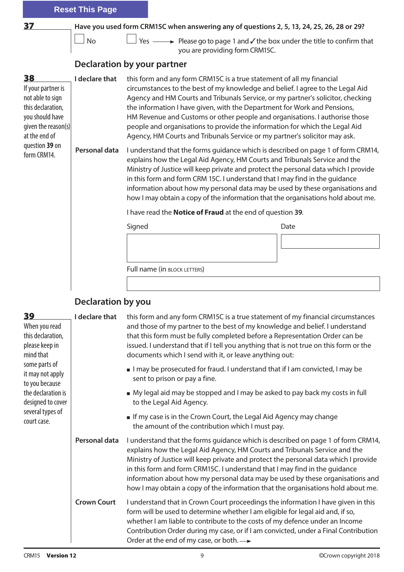|                                                                                                                              | <b>Reset This Page</b>    |                                                                                                                                                                                                                                                                                                                                                                                                                                                                                                                                                                    |      |  |  |  |
|------------------------------------------------------------------------------------------------------------------------------|---------------------------|--------------------------------------------------------------------------------------------------------------------------------------------------------------------------------------------------------------------------------------------------------------------------------------------------------------------------------------------------------------------------------------------------------------------------------------------------------------------------------------------------------------------------------------------------------------------|------|--|--|--|
| 37                                                                                                                           |                           | Have you used form CRM15C when answering any of questions 2, 5, 13, 24, 25, 26, 28 or 29?                                                                                                                                                                                                                                                                                                                                                                                                                                                                          |      |  |  |  |
|                                                                                                                              | <b>No</b>                 | Yes $\longrightarrow$ Please go to page 1 and $\checkmark$ the box under the title to confirm that<br>you are providing form CRM15C.                                                                                                                                                                                                                                                                                                                                                                                                                               |      |  |  |  |
|                                                                                                                              |                           | Declaration by your partner                                                                                                                                                                                                                                                                                                                                                                                                                                                                                                                                        |      |  |  |  |
| 38<br>If your partner is<br>not able to sign<br>this declaration,<br>you should have<br>given the reason(s)<br>at the end of | I declare that            | this form and any form CRM15C is a true statement of all my financial<br>circumstances to the best of my knowledge and belief. I agree to the Legal Aid<br>Agency and HM Courts and Tribunals Service, or my partner's solicitor, checking<br>the information I have given, with the Department for Work and Pensions,<br>HM Revenue and Customs or other people and organisations. I authorise those<br>people and organisations to provide the information for which the Legal Aid<br>Agency, HM Courts and Tribunals Service or my partner's solicitor may ask. |      |  |  |  |
| question 39 on<br>form CRM14.                                                                                                | Personal data             | I understand that the forms guidance which is described on page 1 of form CRM14,<br>explains how the Legal Aid Agency, HM Courts and Tribunals Service and the<br>Ministry of Justice will keep private and protect the personal data which I provide<br>in this form and form CRM 15C. I understand that I may find in the guidance<br>information about how my personal data may be used by these organisations and<br>how I may obtain a copy of the information that the organisations hold about me.                                                          |      |  |  |  |
|                                                                                                                              |                           | I have read the Notice of Fraud at the end of question 39.                                                                                                                                                                                                                                                                                                                                                                                                                                                                                                         |      |  |  |  |
|                                                                                                                              |                           | Signed                                                                                                                                                                                                                                                                                                                                                                                                                                                                                                                                                             | Date |  |  |  |
|                                                                                                                              |                           |                                                                                                                                                                                                                                                                                                                                                                                                                                                                                                                                                                    |      |  |  |  |
|                                                                                                                              |                           | Full name (in BLOCK LETTERS)                                                                                                                                                                                                                                                                                                                                                                                                                                                                                                                                       |      |  |  |  |
|                                                                                                                              | <b>Declaration by you</b> |                                                                                                                                                                                                                                                                                                                                                                                                                                                                                                                                                                    |      |  |  |  |
| 39<br>When you read<br>this declaration,<br>please keep in                                                                   | I declare that            | this form and any form CRM15C is a true statement of my financial circumstances<br>and those of my partner to the best of my knowledge and belief. I understand<br>that this form must be fully completed before a Representation Order can be<br>issued. I understand that if I tell you anything that is not true on this form or the                                                                                                                                                                                                                            |      |  |  |  |

- I may be prosecuted for fraud. I understand that if I am convicted, I may be sent to prison or pay a fine.
- My legal aid may be stopped and I may be asked to pay back my costs in full to the Legal Aid Agency.
- If my case is in the Crown Court, the Legal Aid Agency may change the amount of the contribution which I must pay.

documents which I send with it, or leave anything out:

**Personal data** I understand that the forms guidance which is described on page 1 of form CRM14, explains how the Legal Aid Agency, HM Courts and Tribunals Service and the Ministry of Justice will keep private and protect the personal data which I provide in this form and form CRM15C. I understand that I may find in the guidance information about how my personal data may be used by these organisations and how I may obtain a copy of the information that the organisations hold about me. **Crown Court** I understand that in Crown Court proceedings the information I have given in this form will be used to determine whether I am eligible for legal aid and, if so, whether I am liable to contribute to the costs of my defence under an Income

Contribution Order during my case, or if I am convicted, under a Final Contribution

mind that some parts of it may not apply to you because the declaration is designed to cover several types of court case.

Order at the end of my case, or both.  $\rightarrow$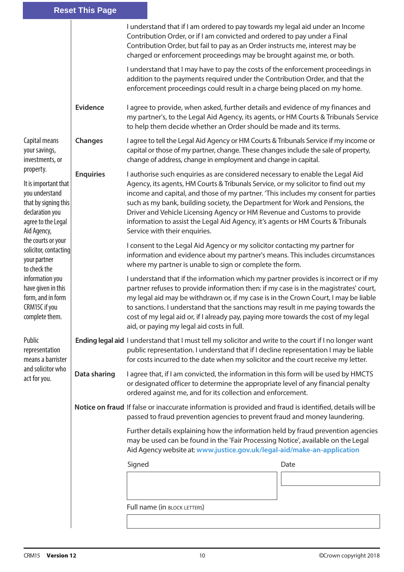|                                                                                                                                                                                                                                                                                                                                                                                                                                                                | <b>Reset This Page</b> |                                                                                                                                                                                                                                                                                                                                                                                                                                                                                                                                            |  |  |  |  |  |
|----------------------------------------------------------------------------------------------------------------------------------------------------------------------------------------------------------------------------------------------------------------------------------------------------------------------------------------------------------------------------------------------------------------------------------------------------------------|------------------------|--------------------------------------------------------------------------------------------------------------------------------------------------------------------------------------------------------------------------------------------------------------------------------------------------------------------------------------------------------------------------------------------------------------------------------------------------------------------------------------------------------------------------------------------|--|--|--|--|--|
|                                                                                                                                                                                                                                                                                                                                                                                                                                                                |                        | I understand that if I am ordered to pay towards my legal aid under an Income<br>Contribution Order, or if I am convicted and ordered to pay under a Final<br>Contribution Order, but fail to pay as an Order instructs me, interest may be<br>charged or enforcement proceedings may be brought against me, or both.                                                                                                                                                                                                                      |  |  |  |  |  |
| Capital means<br>your savings,<br>investments, or<br>property.<br>It is important that<br>you understand<br>that by signing this<br>declaration you<br>agree to the Legal<br>Aid Agency,<br>the courts or your<br>solicitor, contacting<br>your partner<br>to check the<br>information you<br>have given in this<br>form, and in form<br>CRM15C if you<br>complete them.<br>Public<br>representation<br>means a barrister<br>and solicitor who<br>act for you. |                        | I understand that I may have to pay the costs of the enforcement proceedings in<br>addition to the payments required under the Contribution Order, and that the<br>enforcement proceedings could result in a charge being placed on my home.                                                                                                                                                                                                                                                                                               |  |  |  |  |  |
|                                                                                                                                                                                                                                                                                                                                                                                                                                                                | <b>Evidence</b>        | I agree to provide, when asked, further details and evidence of my finances and<br>my partner's, to the Legal Aid Agency, its agents, or HM Courts & Tribunals Service<br>to help them decide whether an Order should be made and its terms.                                                                                                                                                                                                                                                                                               |  |  |  |  |  |
|                                                                                                                                                                                                                                                                                                                                                                                                                                                                | <b>Changes</b>         | I agree to tell the Legal Aid Agency or HM Courts & Tribunals Service if my income or<br>capital or those of my partner, change. These changes include the sale of property,<br>change of address, change in employment and change in capital.                                                                                                                                                                                                                                                                                             |  |  |  |  |  |
|                                                                                                                                                                                                                                                                                                                                                                                                                                                                | <b>Enquiries</b>       | I authorise such enquiries as are considered necessary to enable the Legal Aid<br>Agency, its agents, HM Courts & Tribunals Service, or my solicitor to find out my<br>income and capital, and those of my partner. 'This includes my consent for parties<br>such as my bank, building society, the Department for Work and Pensions, the<br>Driver and Vehicle Licensing Agency or HM Revenue and Customs to provide<br>information to assist the Legal Aid Agency, it's agents or HM Courts & Tribunals<br>Service with their enquiries. |  |  |  |  |  |
|                                                                                                                                                                                                                                                                                                                                                                                                                                                                |                        | I consent to the Legal Aid Agency or my solicitor contacting my partner for<br>information and evidence about my partner's means. This includes circumstances<br>where my partner is unable to sign or complete the form.                                                                                                                                                                                                                                                                                                                  |  |  |  |  |  |
|                                                                                                                                                                                                                                                                                                                                                                                                                                                                |                        | I understand that if the information which my partner provides is incorrect or if my<br>partner refuses to provide information then: if my case is in the magistrates' court,<br>my legal aid may be withdrawn or, if my case is in the Crown Court, I may be liable<br>to sanctions. I understand that the sanctions may result in me paying towards the<br>cost of my legal aid or, if I already pay, paying more towards the cost of my legal<br>aid, or paying my legal aid costs in full.                                             |  |  |  |  |  |
|                                                                                                                                                                                                                                                                                                                                                                                                                                                                |                        | Ending legal aid I understand that I must tell my solicitor and write to the court if I no longer want<br>public representation. I understand that if I decline representation I may be liable<br>for costs incurred to the date when my solicitor and the court receive my letter.                                                                                                                                                                                                                                                        |  |  |  |  |  |
|                                                                                                                                                                                                                                                                                                                                                                                                                                                                | Data sharing           | I agree that, if I am convicted, the information in this form will be used by HMCTS<br>or designated officer to determine the appropriate level of any financial penalty<br>ordered against me, and for its collection and enforcement.                                                                                                                                                                                                                                                                                                    |  |  |  |  |  |
|                                                                                                                                                                                                                                                                                                                                                                                                                                                                |                        | Notice on fraud If false or inaccurate information is provided and fraud is identified, details will be<br>passed to fraud prevention agencies to prevent fraud and money laundering.                                                                                                                                                                                                                                                                                                                                                      |  |  |  |  |  |
|                                                                                                                                                                                                                                                                                                                                                                                                                                                                |                        | Further details explaining how the information held by fraud prevention agencies<br>may be used can be found in the 'Fair Processing Notice', available on the Legal<br>Aid Agency website at: www.justice.gov.uk/legal-aid/make-an-application                                                                                                                                                                                                                                                                                            |  |  |  |  |  |
|                                                                                                                                                                                                                                                                                                                                                                                                                                                                |                        | Signed<br>Date                                                                                                                                                                                                                                                                                                                                                                                                                                                                                                                             |  |  |  |  |  |
|                                                                                                                                                                                                                                                                                                                                                                                                                                                                |                        |                                                                                                                                                                                                                                                                                                                                                                                                                                                                                                                                            |  |  |  |  |  |
|                                                                                                                                                                                                                                                                                                                                                                                                                                                                |                        | Full name (in BLOCK LETTERS)                                                                                                                                                                                                                                                                                                                                                                                                                                                                                                               |  |  |  |  |  |
|                                                                                                                                                                                                                                                                                                                                                                                                                                                                |                        |                                                                                                                                                                                                                                                                                                                                                                                                                                                                                                                                            |  |  |  |  |  |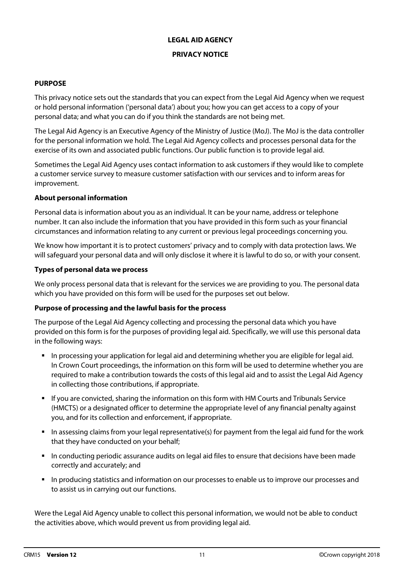# **LEGAL AID AGENCY**

# **PRIVACY NOTICE**

#### **PURPOSE**

This privacy notice sets out the standards that you can expect from the Legal Aid Agency when we request or hold personal information ('personal data') about you; how you can get access to a copy of your personal data; and what you can do if you think the standards are not being met.

The Legal Aid Agency is an Executive Agency of the Ministry of Justice (MoJ). The MoJ is the data controller for the personal information we hold. The Legal Aid Agency collects and processes personal data for the exercise of its own and associated public functions. Our public function is to provide legal aid.

Sometimes the Legal Aid Agency uses contact information to ask customers if they would like to complete a customer service survey to measure customer satisfaction with our services and to inform areas for improvement.

# **About personal information**

Personal data is information about you as an individual. It can be your name, address or telephone number. It can also include the information that you have provided in this form such as your financial circumstances and information relating to any current or previous legal proceedings concerning you.

We know how important it is to protect customers' privacy and to comply with data protection laws. We will safeguard your personal data and will only disclose it where it is lawful to do so, or with your consent.

# **Types of personal data we process**

We only process personal data that is relevant for the services we are providing to you. The personal data which you have provided on this form will be used for the purposes set out below.

# **Purpose of processing and the lawful basis for the process**

The purpose of the Legal Aid Agency collecting and processing the personal data which you have provided on this form is for the purposes of providing legal aid. Specifically, we will use this personal data in the following ways:

- In processing your application for legal aid and determining whether you are eligible for legal aid. In Crown Court proceedings, the information on this form will be used to determine whether you are required to make a contribution towards the costs of this legal aid and to assist the Legal Aid Agency in collecting those contributions, if appropriate.
- If you are convicted, sharing the information on this form with HM Courts and Tribunals Service (HMCTS) or a designated officer to determine the appropriate level of any financial penalty against you, and for its collection and enforcement, if appropriate.
- In assessing claims from your legal representative(s) for payment from the legal aid fund for the work that they have conducted on your behalf;
- **In conducting periodic assurance audits on legal aid files to ensure that decisions have been made** correctly and accurately; and
- In producing statistics and information on our processes to enable us to improve our processes and to assist us in carrying out our functions.

Were the Legal Aid Agency unable to collect this personal information, we would not be able to conduct the activities above, which would prevent us from providing legal aid.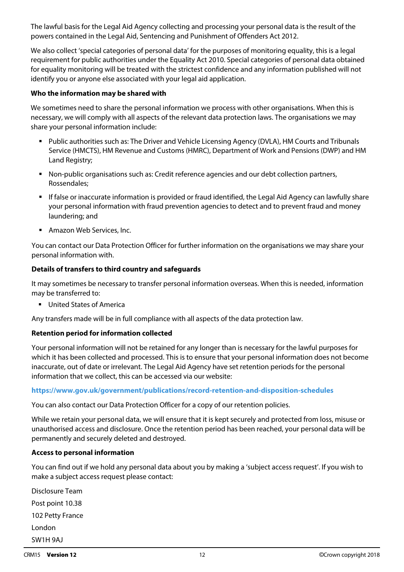The lawful basis for the Legal Aid Agency collecting and processing your personal data is the result of the powers contained in the Legal Aid, Sentencing and Punishment of Offenders Act 2012.

We also collect 'special categories of personal data' for the purposes of monitoring equality, this is a legal requirement for public authorities under the Equality Act 2010. Special categories of personal data obtained for equality monitoring will be treated with the strictest confidence and any information published will not identify you or anyone else associated with your legal aid application.

# **Who the information may be shared with**

We sometimes need to share the personal information we process with other organisations. When this is necessary, we will comply with all aspects of the relevant data protection laws. The organisations we may share your personal information include:

- Public authorities such as: The Driver and Vehicle Licensing Agency (DVLA), HM Courts and Tribunals Service (HMCTS), HM Revenue and Customs (HMRC), Department of Work and Pensions (DWP) and HM Land Registry;
- Non-public organisations such as: Credit reference agencies and our debt collection partners, Rossendales;
- If false or inaccurate information is provided or fraud identified, the Legal Aid Agency can lawfully share your personal information with fraud prevention agencies to detect and to prevent fraud and money laundering; and
- **Amazon Web Services, Inc.**

You can contact our Data Protection Officer for further information on the organisations we may share your personal information with.

#### **Details of transfers to third country and safeguards**

It may sometimes be necessary to transfer personal information overseas. When this is needed, information may be transferred to:

**United States of America** 

Any transfers made will be in full compliance with all aspects of the data protection law.

#### **Retention period for information collected**

Your personal information will not be retained for any longer than is necessary for the lawful purposes for which it has been collected and processed. This is to ensure that your personal information does not become inaccurate, out of date or irrelevant. The Legal Aid Agency have set retention periods for the personal information that we collect, this can be accessed via our website:

#### **<https://www.gov.uk/government/publications/record-retention-and-disposition-schedules>**

You can also contact our Data Protection Officer for a copy of our retention policies.

While we retain your personal data, we will ensure that it is kept securely and protected from loss, misuse or unauthorised access and disclosure. Once the retention period has been reached, your personal data will be permanently and securely deleted and destroyed.

#### **Access to personal information**

You can find out if we hold any personal data about you by making a 'subject access request'. If you wish to make a subject access request please contact:

Disclosure Team Post point 10.38 102 Petty France London SW1H 9AJ